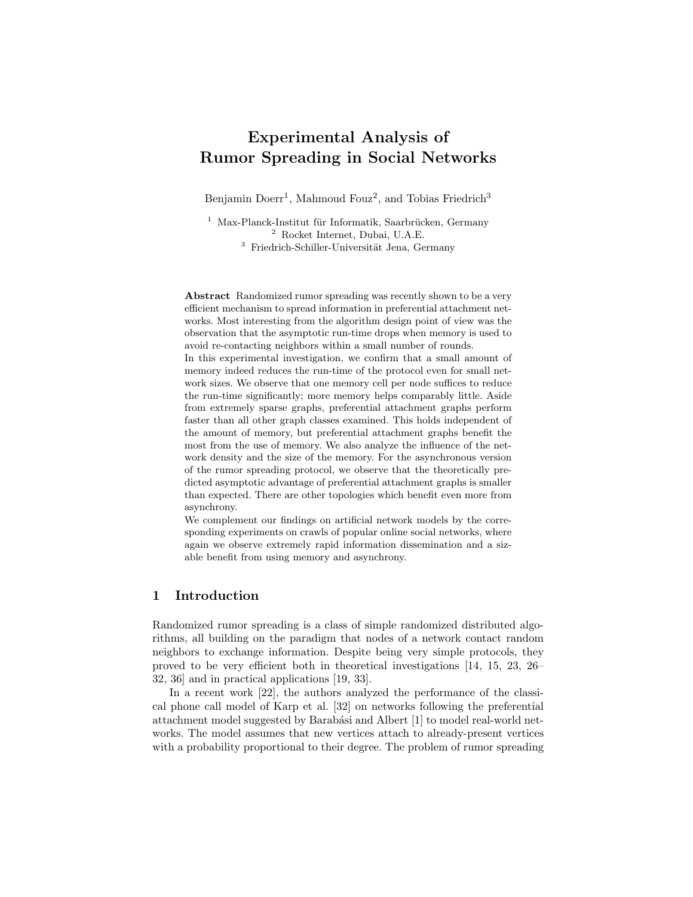# Experimental Analysis of Rumor Spreading in Social Networks

Benjamin Doerr<sup>1</sup>, Mahmoud Fouz<sup>2</sup>, and Tobias Friedrich<sup>3</sup>

 $1$  Max-Planck-Institut für Informatik, Saarbrücken, Germany <sup>2</sup> Rocket Internet, Dubai, U.A.E.  $3$  Friedrich-Schiller-Universität Jena, Germany

Abstract Randomized rumor spreading was recently shown to be a very efficient mechanism to spread information in preferential attachment networks. Most interesting from the algorithm design point of view was the observation that the asymptotic run-time drops when memory is used to avoid re-contacting neighbors within a small number of rounds.

In this experimental investigation, we confirm that a small amount of memory indeed reduces the run-time of the protocol even for small network sizes. We observe that one memory cell per node suffices to reduce the run-time significantly; more memory helps comparably little. Aside from extremely sparse graphs, preferential attachment graphs perform faster than all other graph classes examined. This holds independent of the amount of memory, but preferential attachment graphs benefit the most from the use of memory. We also analyze the influence of the network density and the size of the memory. For the asynchronous version of the rumor spreading protocol, we observe that the theoretically predicted asymptotic advantage of preferential attachment graphs is smaller than expected. There are other topologies which benefit even more from asynchrony.

We complement our findings on artificial network models by the corresponding experiments on crawls of popular online social networks, where again we observe extremely rapid information dissemination and a sizable benefit from using memory and asynchrony.

## 1 Introduction

Randomized rumor spreading is a class of simple randomized distributed algorithms, all building on the paradigm that nodes of a network contact random neighbors to exchange information. Despite being very simple protocols, they proved to be very efficient both in theoretical investigations [14, 15, 23, 26– 32, 36] and in practical applications [19, 33].

In a recent work [22], the authors analyzed the performance of the classical phone call model of Karp et al. [32] on networks following the preferential attachment model suggested by Barabási and Albert [1] to model real-world networks. The model assumes that new vertices attach to already-present vertices with a probability proportional to their degree. The problem of rumor spreading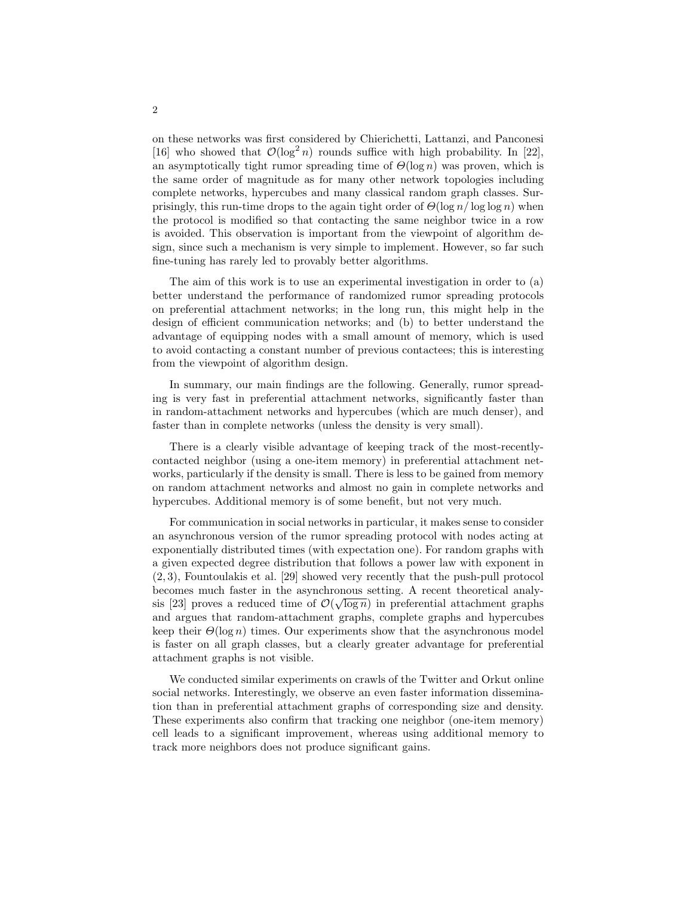on these networks was first considered by Chierichetti, Lattanzi, and Panconesi [16] who showed that  $\mathcal{O}(\log^2 n)$  rounds suffice with high probability. In [22], an asymptotically tight rumor spreading time of  $\Theta(\log n)$  was proven, which is the same order of magnitude as for many other network topologies including complete networks, hypercubes and many classical random graph classes. Surprisingly, this run-time drops to the again tight order of  $\Theta(\log n / \log \log n)$  when the protocol is modified so that contacting the same neighbor twice in a row is avoided. This observation is important from the viewpoint of algorithm design, since such a mechanism is very simple to implement. However, so far such fine-tuning has rarely led to provably better algorithms.

The aim of this work is to use an experimental investigation in order to (a) better understand the performance of randomized rumor spreading protocols on preferential attachment networks; in the long run, this might help in the design of efficient communication networks; and (b) to better understand the advantage of equipping nodes with a small amount of memory, which is used to avoid contacting a constant number of previous contactees; this is interesting from the viewpoint of algorithm design.

In summary, our main findings are the following. Generally, rumor spreading is very fast in preferential attachment networks, significantly faster than in random-attachment networks and hypercubes (which are much denser), and faster than in complete networks (unless the density is very small).

There is a clearly visible advantage of keeping track of the most-recentlycontacted neighbor (using a one-item memory) in preferential attachment networks, particularly if the density is small. There is less to be gained from memory on random attachment networks and almost no gain in complete networks and hypercubes. Additional memory is of some benefit, but not very much.

For communication in social networks in particular, it makes sense to consider an asynchronous version of the rumor spreading protocol with nodes acting at exponentially distributed times (with expectation one). For random graphs with a given expected degree distribution that follows a power law with exponent in (2, 3), Fountoulakis et al. [29] showed very recently that the push-pull protocol becomes much faster in the asynchronous setting. A recent theoretical analysis [23] proves a reduced time of  $\mathcal{O}(\sqrt{\log n})$  in preferential attachment graphs and argues that random-attachment graphs, complete graphs and hypercubes keep their  $\Theta(\log n)$  times. Our experiments show that the asynchronous model is faster on all graph classes, but a clearly greater advantage for preferential attachment graphs is not visible.

We conducted similar experiments on crawls of the Twitter and Orkut online social networks. Interestingly, we observe an even faster information dissemination than in preferential attachment graphs of corresponding size and density. These experiments also confirm that tracking one neighbor (one-item memory) cell leads to a significant improvement, whereas using additional memory to track more neighbors does not produce significant gains.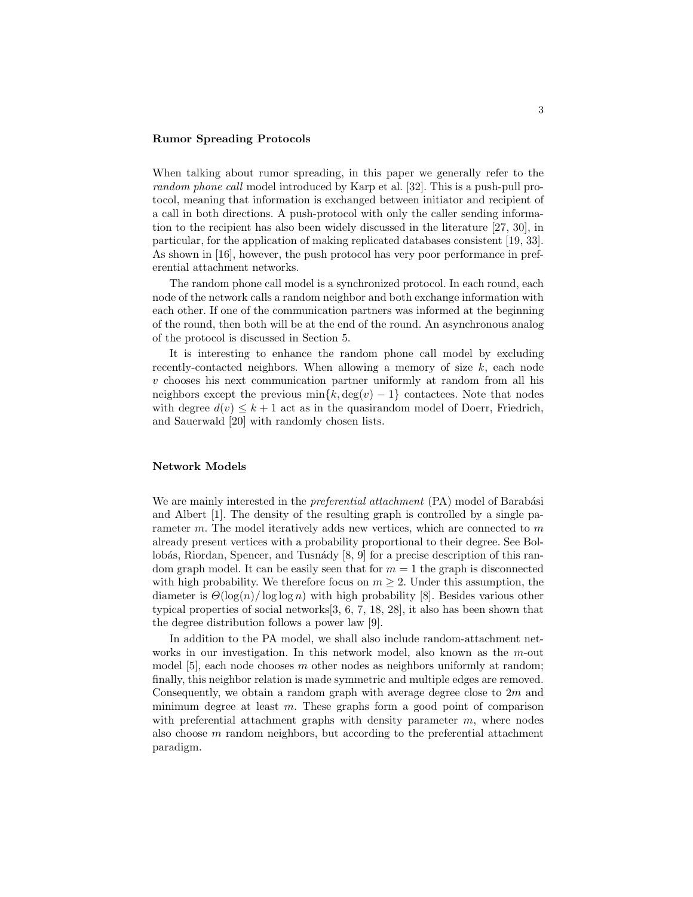#### Rumor Spreading Protocols

When talking about rumor spreading, in this paper we generally refer to the random phone call model introduced by Karp et al. [32]. This is a push-pull protocol, meaning that information is exchanged between initiator and recipient of a call in both directions. A push-protocol with only the caller sending information to the recipient has also been widely discussed in the literature [27, 30], in particular, for the application of making replicated databases consistent [19, 33]. As shown in [16], however, the push protocol has very poor performance in preferential attachment networks.

The random phone call model is a synchronized protocol. In each round, each node of the network calls a random neighbor and both exchange information with each other. If one of the communication partners was informed at the beginning of the round, then both will be at the end of the round. An asynchronous analog of the protocol is discussed in Section 5.

It is interesting to enhance the random phone call model by excluding recently-contacted neighbors. When allowing a memory of size  $k$ , each node  $v$  chooses his next communication partner uniformly at random from all his neighbors except the previous min $\{k, \deg(v) - 1\}$  contactees. Note that nodes with degree  $d(v) \leq k+1$  act as in the quasirandom model of Doerr, Friedrich, and Sauerwald [20] with randomly chosen lists.

#### Network Models

We are mainly interested in the *preferential attachment* (PA) model of Barabási and Albert [1]. The density of the resulting graph is controlled by a single parameter m. The model iteratively adds new vertices, which are connected to m already present vertices with a probability proportional to their degree. See Bollobás, Riordan, Spencer, and Tusnády [8, 9] for a precise description of this random graph model. It can be easily seen that for  $m = 1$  the graph is disconnected with high probability. We therefore focus on  $m \geq 2$ . Under this assumption, the diameter is  $\Theta(\log(n)/\log\log n)$  with high probability [8]. Besides various other typical properties of social networks[3, 6, 7, 18, 28], it also has been shown that the degree distribution follows a power law [9].

In addition to the PA model, we shall also include random-attachment networks in our investigation. In this network model, also known as the m-out model  $[5]$ , each node chooses m other nodes as neighbors uniformly at random; finally, this neighbor relation is made symmetric and multiple edges are removed. Consequently, we obtain a random graph with average degree close to  $2m$  and minimum degree at least  $m$ . These graphs form a good point of comparison with preferential attachment graphs with density parameter  $m$ , where nodes also choose m random neighbors, but according to the preferential attachment paradigm.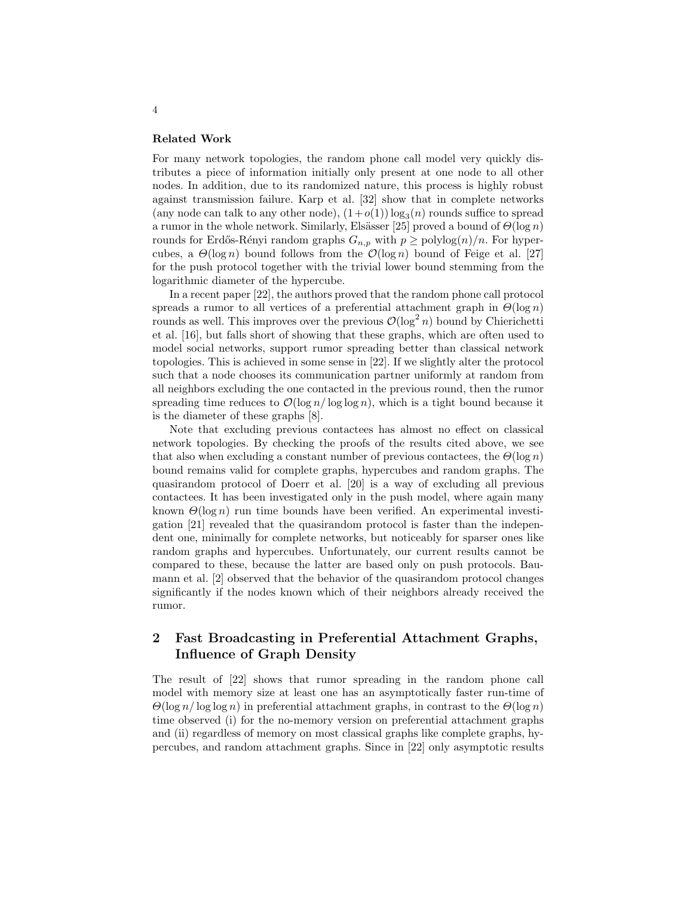#### Related Work

For many network topologies, the random phone call model very quickly distributes a piece of information initially only present at one node to all other nodes. In addition, due to its randomized nature, this process is highly robust against transmission failure. Karp et al. [32] show that in complete networks (any node can talk to any other node),  $(1+o(1)) \log_3(n)$  rounds suffice to spread a rumor in the whole network. Similarly, Elsässer [25] proved a bound of  $\Theta(\log n)$ rounds for Erdős-Rényi random graphs  $G_{n,p}$  with  $p \geq \text{polylog}(n)/n$ . For hypercubes, a  $\Theta(\log n)$  bound follows from the  $\mathcal{O}(\log n)$  bound of Feige et al. [27] for the push protocol together with the trivial lower bound stemming from the logarithmic diameter of the hypercube.

In a recent paper [22], the authors proved that the random phone call protocol spreads a rumor to all vertices of a preferential attachment graph in  $\Theta(\log n)$ rounds as well. This improves over the previous  $\mathcal{O}(\log^2 n)$  bound by Chierichetti et al. [16], but falls short of showing that these graphs, which are often used to model social networks, support rumor spreading better than classical network topologies. This is achieved in some sense in [22]. If we slightly alter the protocol such that a node chooses its communication partner uniformly at random from all neighbors excluding the one contacted in the previous round, then the rumor spreading time reduces to  $\mathcal{O}(\log n / \log \log n)$ , which is a tight bound because it is the diameter of these graphs [8].

Note that excluding previous contactees has almost no effect on classical network topologies. By checking the proofs of the results cited above, we see that also when excluding a constant number of previous contactees, the  $\Theta(\log n)$ bound remains valid for complete graphs, hypercubes and random graphs. The quasirandom protocol of Doerr et al. [20] is a way of excluding all previous contactees. It has been investigated only in the push model, where again many known  $\Theta(\log n)$  run time bounds have been verified. An experimental investigation [21] revealed that the quasirandom protocol is faster than the independent one, minimally for complete networks, but noticeably for sparser ones like random graphs and hypercubes. Unfortunately, our current results cannot be compared to these, because the latter are based only on push protocols. Baumann et al. [2] observed that the behavior of the quasirandom protocol changes significantly if the nodes known which of their neighbors already received the rumor.

# 2 Fast Broadcasting in Preferential Attachment Graphs, Influence of Graph Density

The result of [22] shows that rumor spreading in the random phone call model with memory size at least one has an asymptotically faster run-time of  $\Theta(\log n / \log \log n)$  in preferential attachment graphs, in contrast to the  $\Theta(\log n)$ time observed (i) for the no-memory version on preferential attachment graphs and (ii) regardless of memory on most classical graphs like complete graphs, hypercubes, and random attachment graphs. Since in [22] only asymptotic results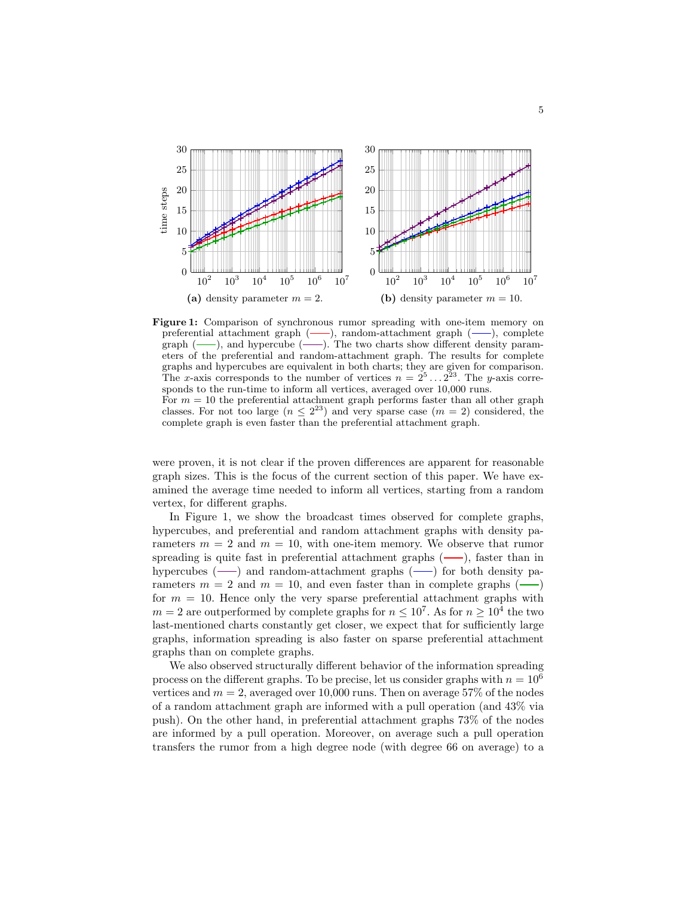

Figure 1: Comparison of synchronous rumor spreading with one-item memory on preferential attachment graph  $($ , random-attachment graph  $($ , complete graph  $(\_\_)$ , and hypercube  $(\_\_)$ . The two charts show different density parameters of the preferential and random-attachment graph. The results for complete graphs and hypercubes are equivalent in both charts; they are given for comparison. The x-axis corresponds to the number of vertices  $n = 2^5 \dots 2^{23}$ . The y-axis corresponds to the run-time to inform all vertices, averaged over 10,000 runs. For  $m = 10$  the preferential attachment graph performs faster than all other graph classes. For not too large  $(n \leq 2^{23})$  and very sparse case  $(m = 2)$  considered, the complete graph is even faster than the preferential attachment graph.

were proven, it is not clear if the proven differences are apparent for reasonable graph sizes. This is the focus of the current section of this paper. We have examined the average time needed to inform all vertices, starting from a random vertex, for different graphs.

In Figure 1, we show the broadcast times observed for complete graphs, hypercubes, and preferential and random attachment graphs with density parameters  $m = 2$  and  $m = 10$ , with one-item memory. We observe that rumor spreading is quite fast in preferential attachment graphs  $(-)$ , faster than in hypercubes  $($ — $)$  and random-attachment graphs  $($ — $)$  for both density parameters  $m = 2$  and  $m = 10$ , and even faster than in complete graphs (for  $m = 10$ . Hence only the very sparse preferential attachment graphs with  $m = 2$  are outperformed by complete graphs for  $n \leq 10^7$ . As for  $n \geq 10^4$  the two last-mentioned charts constantly get closer, we expect that for sufficiently large graphs, information spreading is also faster on sparse preferential attachment graphs than on complete graphs.

We also observed structurally different behavior of the information spreading process on the different graphs. To be precise, let us consider graphs with  $n = 10^6$ vertices and  $m = 2$ , averaged over 10,000 runs. Then on average 57% of the nodes of a random attachment graph are informed with a pull operation (and 43% via push). On the other hand, in preferential attachment graphs 73% of the nodes are informed by a pull operation. Moreover, on average such a pull operation transfers the rumor from a high degree node (with degree 66 on average) to a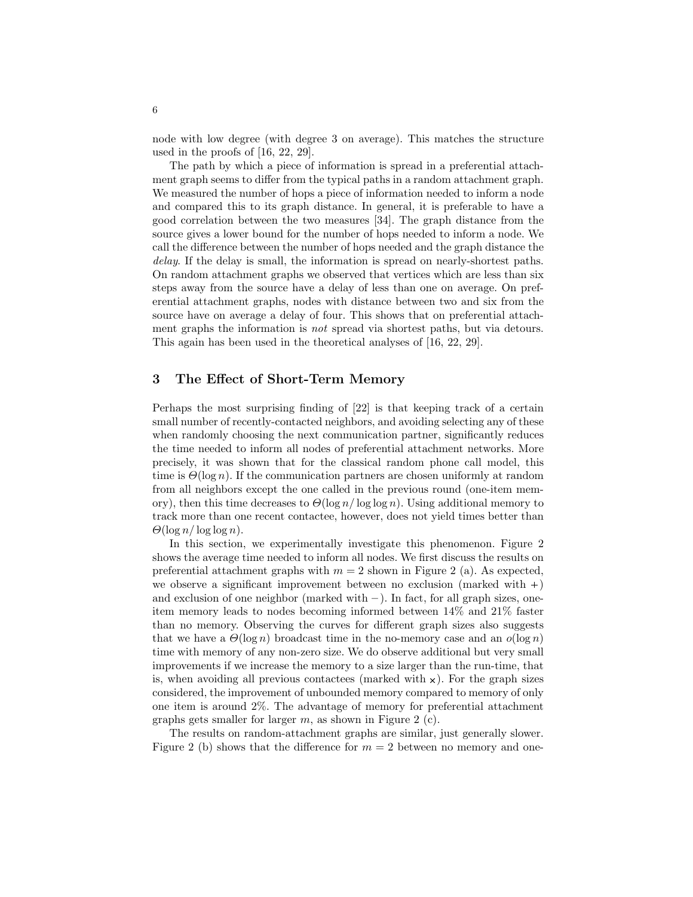node with low degree (with degree 3 on average). This matches the structure used in the proofs of [16, 22, 29].

The path by which a piece of information is spread in a preferential attachment graph seems to differ from the typical paths in a random attachment graph. We measured the number of hops a piece of information needed to inform a node and compared this to its graph distance. In general, it is preferable to have a good correlation between the two measures [34]. The graph distance from the source gives a lower bound for the number of hops needed to inform a node. We call the difference between the number of hops needed and the graph distance the delay. If the delay is small, the information is spread on nearly-shortest paths. On random attachment graphs we observed that vertices which are less than six steps away from the source have a delay of less than one on average. On preferential attachment graphs, nodes with distance between two and six from the source have on average a delay of four. This shows that on preferential attachment graphs the information is *not* spread via shortest paths, but via detours. This again has been used in the theoretical analyses of [16, 22, 29].

#### 3 The Effect of Short-Term Memory

Perhaps the most surprising finding of [22] is that keeping track of a certain small number of recently-contacted neighbors, and avoiding selecting any of these when randomly choosing the next communication partner, significantly reduces the time needed to inform all nodes of preferential attachment networks. More precisely, it was shown that for the classical random phone call model, this time is  $\Theta(\log n)$ . If the communication partners are chosen uniformly at random from all neighbors except the one called in the previous round (one-item memory), then this time decreases to  $\Theta(\log n / \log \log n)$ . Using additional memory to track more than one recent contactee, however, does not yield times better than  $\Theta(\log n / \log \log n)$ .

In this section, we experimentally investigate this phenomenon. Figure 2 shows the average time needed to inform all nodes. We first discuss the results on preferential attachment graphs with  $m = 2$  shown in Figure 2 (a). As expected, we observe a significant improvement between no exclusion (marked with  $+)$ and exclusion of one neighbor (marked with  $-$ ). In fact, for all graph sizes, oneitem memory leads to nodes becoming informed between 14% and 21% faster than no memory. Observing the curves for different graph sizes also suggests that we have a  $\Theta(\log n)$  broadcast time in the no-memory case and an  $o(\log n)$ time with memory of any non-zero size. We do observe additional but very small improvements if we increase the memory to a size larger than the run-time, that is, when avoiding all previous contactees (marked with  $\times$ ). For the graph sizes considered, the improvement of unbounded memory compared to memory of only one item is around 2%. The advantage of memory for preferential attachment graphs gets smaller for larger  $m$ , as shown in Figure 2 (c).

The results on random-attachment graphs are similar, just generally slower. Figure 2 (b) shows that the difference for  $m = 2$  between no memory and one-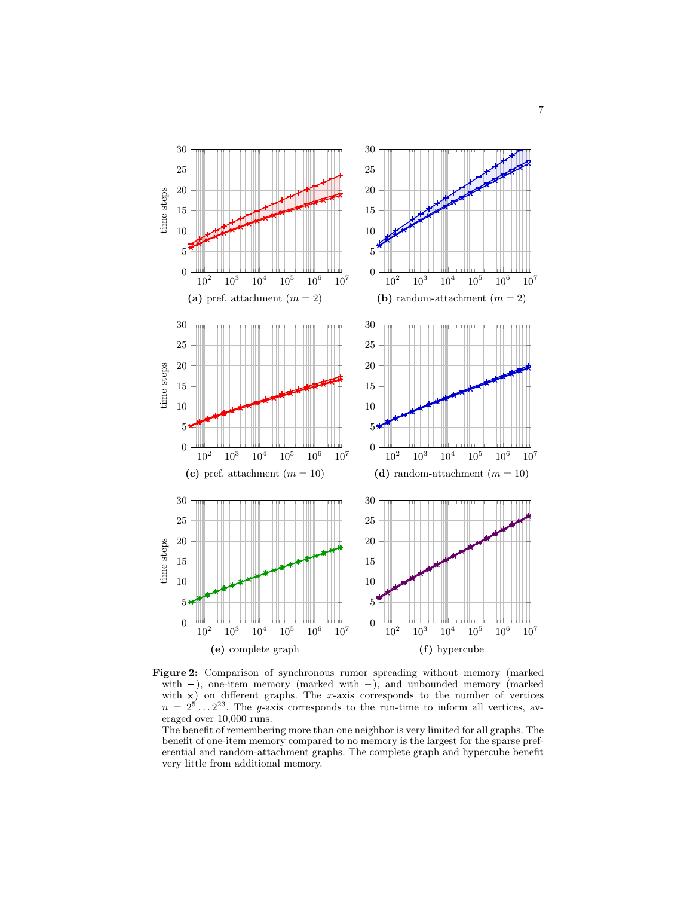

Figure 2: Comparison of synchronous rumor spreading without memory (marked with  $+)$ , one-item memory (marked with  $-)$ , and unbounded memory (marked with  $\times$ ) on different graphs. The x-axis corresponds to the number of vertices  $n = 2^5 \dots 2^{23}$ . The y-axis corresponds to the run-time to inform all vertices, averaged over 10,000 runs.

The benefit of remembering more than one neighbor is very limited for all graphs. The benefit of one-item memory compared to no memory is the largest for the sparse preferential and random-attachment graphs. The complete graph and hypercube benefit very little from additional memory.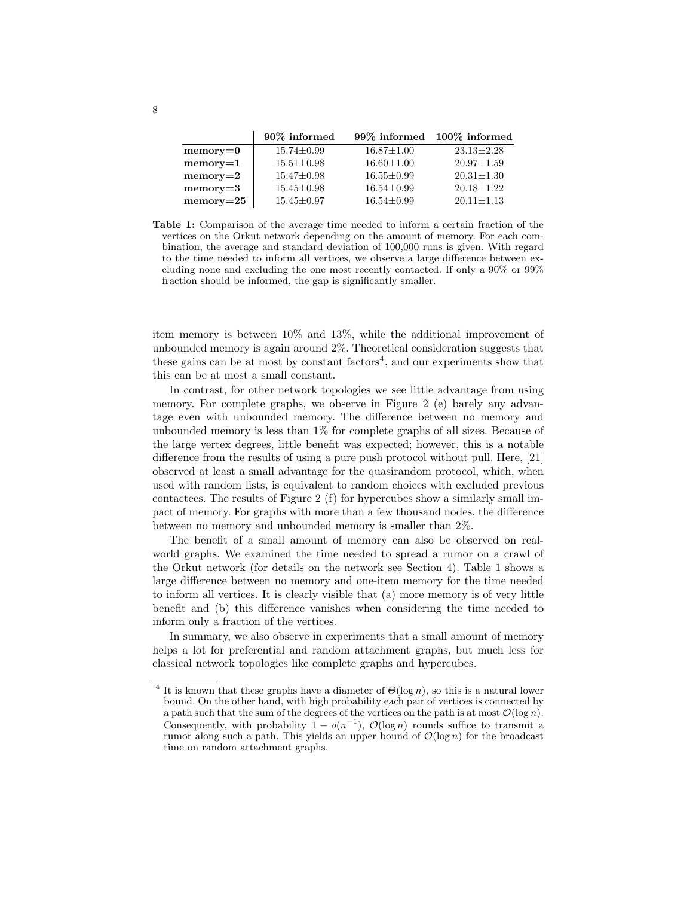|             | 90\% informed    |                  | 99% informed 100% informed |
|-------------|------------------|------------------|----------------------------|
| $memory=0$  | $15.74 \pm 0.99$ | $16.87 \pm 1.00$ | $23.13 \pm 2.28$           |
| $memory=1$  | $15.51 \pm 0.98$ | $16.60 \pm 1.00$ | $20.97 \pm 1.59$           |
| $memory=2$  | $15.47 \pm 0.98$ | $16.55 \pm 0.99$ | $20.31 \pm 1.30$           |
| $memory=3$  | $15.45 \pm 0.98$ | $16.54 \pm 0.99$ | $20.18 \pm 1.22$           |
| $memory=25$ | $15.45 \pm 0.97$ | $16.54 \pm 0.99$ | $20.11 + 1.13$             |

Table 1: Comparison of the average time needed to inform a certain fraction of the vertices on the Orkut network depending on the amount of memory. For each combination, the average and standard deviation of 100,000 runs is given. With regard to the time needed to inform all vertices, we observe a large difference between excluding none and excluding the one most recently contacted. If only a 90% or 99% fraction should be informed, the gap is significantly smaller.

item memory is between 10% and 13%, while the additional improvement of unbounded memory is again around 2%. Theoretical consideration suggests that these gains can be at most by constant  $factors<sup>4</sup>$ , and our experiments show that this can be at most a small constant.

In contrast, for other network topologies we see little advantage from using memory. For complete graphs, we observe in Figure 2 (e) barely any advantage even with unbounded memory. The difference between no memory and unbounded memory is less than 1% for complete graphs of all sizes. Because of the large vertex degrees, little benefit was expected; however, this is a notable difference from the results of using a pure push protocol without pull. Here, [21] observed at least a small advantage for the quasirandom protocol, which, when used with random lists, is equivalent to random choices with excluded previous contactees. The results of Figure 2 (f) for hypercubes show a similarly small impact of memory. For graphs with more than a few thousand nodes, the difference between no memory and unbounded memory is smaller than 2%.

The benefit of a small amount of memory can also be observed on realworld graphs. We examined the time needed to spread a rumor on a crawl of the Orkut network (for details on the network see Section 4). Table 1 shows a large difference between no memory and one-item memory for the time needed to inform all vertices. It is clearly visible that (a) more memory is of very little benefit and (b) this difference vanishes when considering the time needed to inform only a fraction of the vertices.

In summary, we also observe in experiments that a small amount of memory helps a lot for preferential and random attachment graphs, but much less for classical network topologies like complete graphs and hypercubes.

<sup>&</sup>lt;sup>4</sup> It is known that these graphs have a diameter of  $\Theta(\log n)$ , so this is a natural lower bound. On the other hand, with high probability each pair of vertices is connected by a path such that the sum of the degrees of the vertices on the path is at most  $\mathcal{O}(\log n)$ . Consequently, with probability  $1 - o(n^{-1})$ ,  $\mathcal{O}(\log n)$  rounds suffice to transmit a rumor along such a path. This yields an upper bound of  $\mathcal{O}(\log n)$  for the broadcast time on random attachment graphs.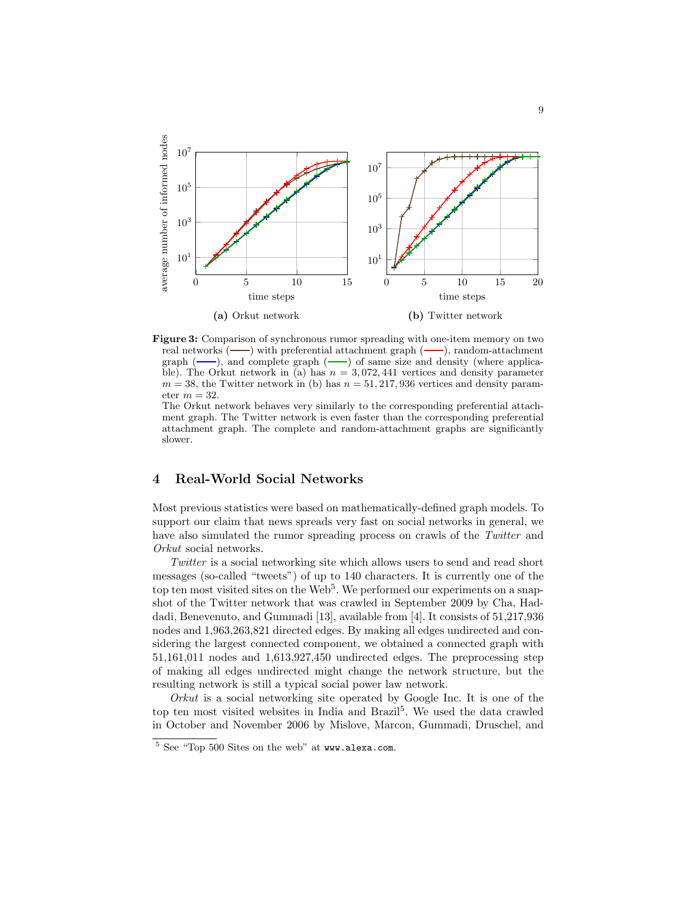

Figure 3: Comparison of synchronous rumor spreading with one-item memory on two real networks  $(\_\!\text{right}$  with preferential attachment graph  $(\_\!\text{right})$ , random-attachment graph  $(-\)$ , and complete graph  $(-\)$  of same size and density (where applicable). The Orkut network in (a) has  $n = 3,072,441$  vertices and density parameter  $m = 38$ , the Twitter network in (b) has  $n = 51, 217, 936$  vertices and density parameter  $m = 32$ .

The Orkut network behaves very similarly to the corresponding preferential attachment graph. The Twitter network is even faster than the corresponding preferential attachment graph. The complete and random-attachment graphs are significantly slower.

## 4 Real-World Social Networks

Most previous statistics were based on mathematically-defined graph models. To support our claim that news spreads very fast on social networks in general, we have also simulated the rumor spreading process on crawls of the Twitter and Orkut social networks.

Twitter is a social networking site which allows users to send and read short messages (so-called "tweets") of up to 140 characters. It is currently one of the top ten most visited sites on the Web<sup>5</sup>. We performed our experiments on a snapshot of the Twitter network that was crawled in September 2009 by Cha, Haddadi, Benevenuto, and Gummadi [13], available from [4]. It consists of 51,217,936 nodes and 1,963,263,821 directed edges. By making all edges undirected and considering the largest connected component, we obtained a connected graph with 51,161,011 nodes and 1,613,927,450 undirected edges. The preprocessing step of making all edges undirected might change the network structure, but the resulting network is still a typical social power law network.

Orkut is a social networking site operated by Google Inc. It is one of the top ten most visited websites in India and Brazil<sup>5</sup>. We used the data crawled in October and November 2006 by Mislove, Marcon, Gummadi, Druschel, and

<sup>5</sup> See "Top 500 Sites on the web" at www.alexa.com.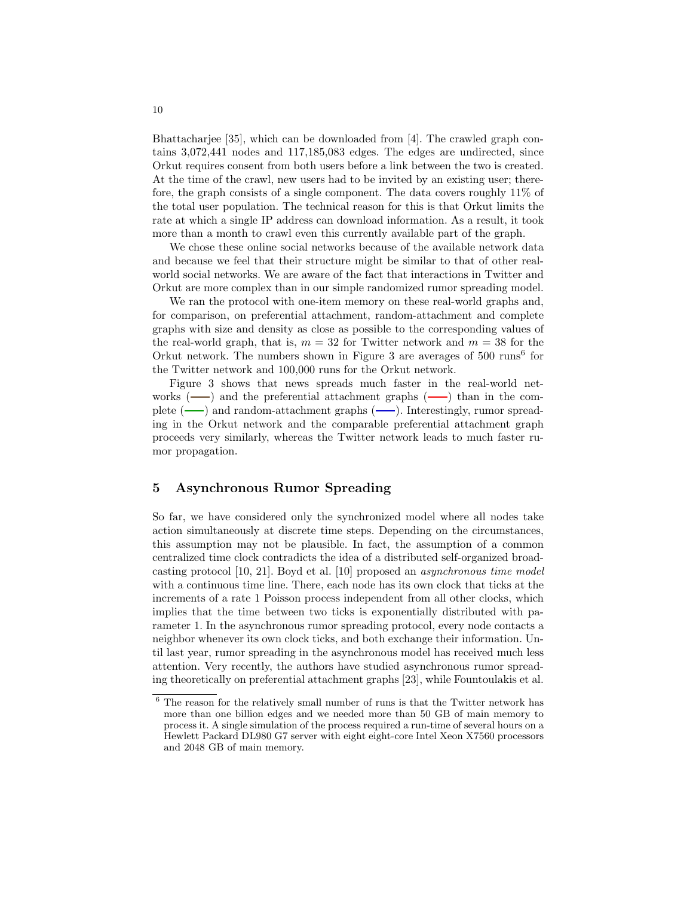Bhattacharjee [35], which can be downloaded from [4]. The crawled graph contains 3,072,441 nodes and 117,185,083 edges. The edges are undirected, since Orkut requires consent from both users before a link between the two is created. At the time of the crawl, new users had to be invited by an existing user; therefore, the graph consists of a single component. The data covers roughly 11% of the total user population. The technical reason for this is that Orkut limits the rate at which a single IP address can download information. As a result, it took more than a month to crawl even this currently available part of the graph.

We chose these online social networks because of the available network data and because we feel that their structure might be similar to that of other realworld social networks. We are aware of the fact that interactions in Twitter and Orkut are more complex than in our simple randomized rumor spreading model.

We ran the protocol with one-item memory on these real-world graphs and, for comparison, on preferential attachment, random-attachment and complete graphs with size and density as close as possible to the corresponding values of the real-world graph, that is,  $m = 32$  for Twitter network and  $m = 38$  for the Orkut network. The numbers shown in Figure 3 are averages of  $500$  runs<sup>6</sup> for the Twitter network and 100,000 runs for the Orkut network.

Figure 3 shows that news spreads much faster in the real-world networks  $(\_\!\text{max})$  and the preferential attachment graphs  $(\_\!\text{max})$  than in the complete  $(\longrightarrow)$  and random-attachment graphs  $(\longrightarrow)$ . Interestingly, rumor spreading in the Orkut network and the comparable preferential attachment graph proceeds very similarly, whereas the Twitter network leads to much faster rumor propagation.

### 5 Asynchronous Rumor Spreading

So far, we have considered only the synchronized model where all nodes take action simultaneously at discrete time steps. Depending on the circumstances, this assumption may not be plausible. In fact, the assumption of a common centralized time clock contradicts the idea of a distributed self-organized broadcasting protocol [10, 21]. Boyd et al. [10] proposed an asynchronous time model with a continuous time line. There, each node has its own clock that ticks at the increments of a rate 1 Poisson process independent from all other clocks, which implies that the time between two ticks is exponentially distributed with parameter 1. In the asynchronous rumor spreading protocol, every node contacts a neighbor whenever its own clock ticks, and both exchange their information. Until last year, rumor spreading in the asynchronous model has received much less attention. Very recently, the authors have studied asynchronous rumor spreading theoretically on preferential attachment graphs [23], while Fountoulakis et al.

 $^6$  The reason for the relatively small number of runs is that the Twitter network has more than one billion edges and we needed more than 50 GB of main memory to process it. A single simulation of the process required a run-time of several hours on a Hewlett Packard DL980 G7 server with eight eight-core Intel Xeon X7560 processors and 2048 GB of main memory.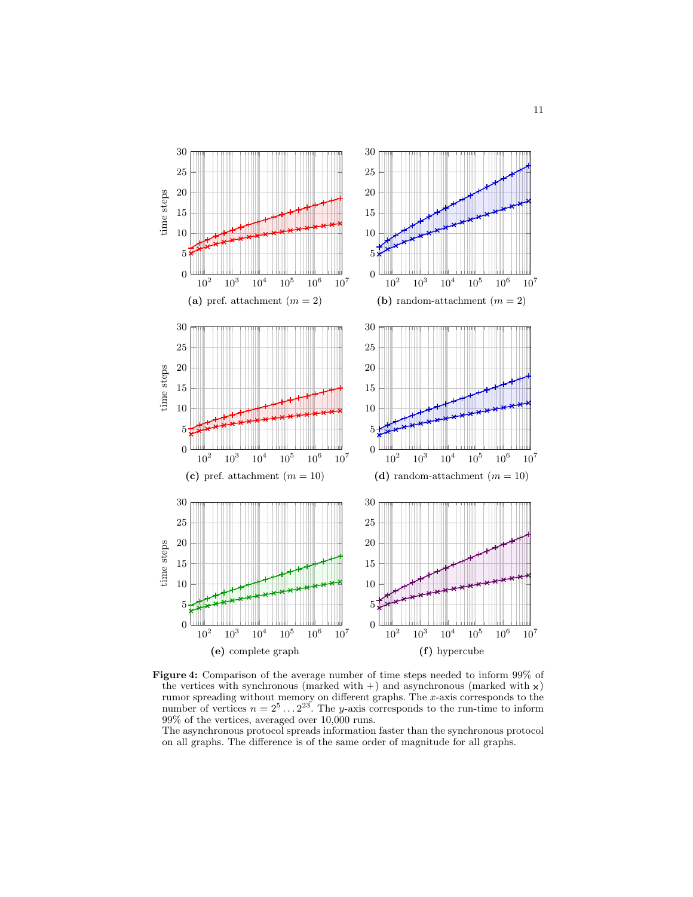

Figure 4: Comparison of the average number of time steps needed to inform 99% of the vertices with synchronous (marked with  $+)$  and asynchronous (marked with  $\times$ ) rumor spreading without memory on different graphs. The x-axis corresponds to the number of vertices  $n = 2^5 \dots 2^{23}$ . The y-axis corresponds to the run-time to inform 99% of the vertices, averaged over 10,000 runs.

The asynchronous protocol spreads information faster than the synchronous protocol on all graphs. The difference is of the same order of magnitude for all graphs.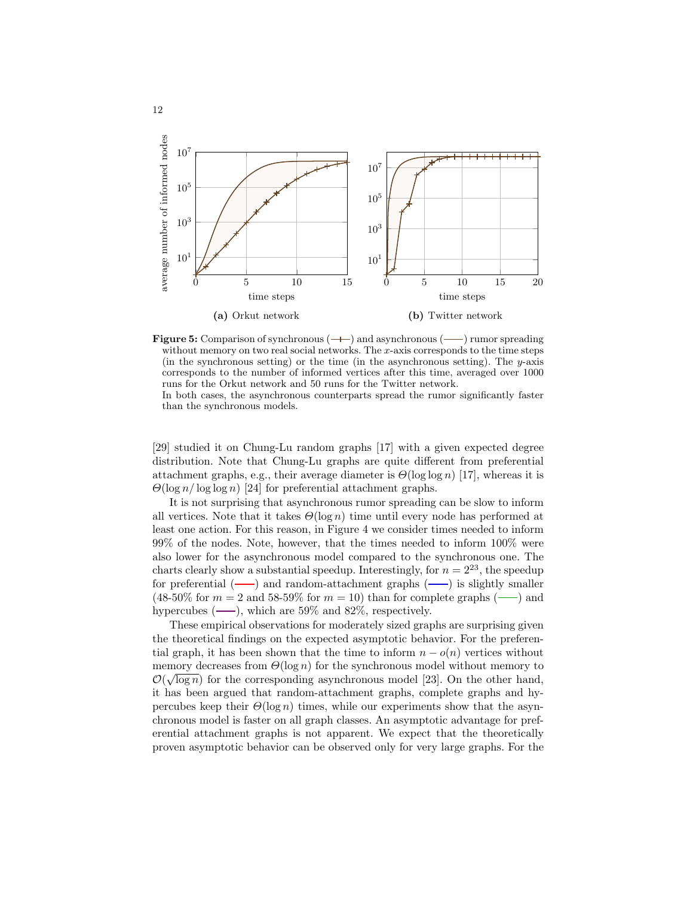



In both cases, the asynchronous counterparts spread the rumor significantly faster than the synchronous models.

[29] studied it on Chung-Lu random graphs [17] with a given expected degree distribution. Note that Chung-Lu graphs are quite different from preferential attachment graphs, e.g., their average diameter is  $\Theta(\log \log n)$  [17], whereas it is  $\Theta(\log n / \log \log n)$  [24] for preferential attachment graphs.

It is not surprising that asynchronous rumor spreading can be slow to inform all vertices. Note that it takes  $\Theta(\log n)$  time until every node has performed at least one action. For this reason, in Figure 4 we consider times needed to inform 99% of the nodes. Note, however, that the times needed to inform 100% were also lower for the asynchronous model compared to the synchronous one. The charts clearly show a substantial speedup. Interestingly, for  $n = 2^{23}$ , the speedup for preferential  $(-)$  and random-attachment graphs  $(-)$  is slightly smaller  $(48-50\%$  for  $m = 2$  and 58-59% for  $m = 10$ ) than for complete graphs  $($ --) and hypercubes  $(-)$ , which are 59% and 82%, respectively.

These empirical observations for moderately sized graphs are surprising given the theoretical findings on the expected asymptotic behavior. For the preferential graph, it has been shown that the time to inform  $n - o(n)$  vertices without memory decreases from  $\Theta(\log n)$  for the synchronous model without memory to  $\mathcal{O}(\sqrt{\log n})$  for the corresponding asynchronous model [23]. On the other hand, it has been argued that random-attachment graphs, complete graphs and hypercubes keep their  $\Theta(\log n)$  times, while our experiments show that the asynchronous model is faster on all graph classes. An asymptotic advantage for preferential attachment graphs is not apparent. We expect that the theoretically proven asymptotic behavior can be observed only for very large graphs. For the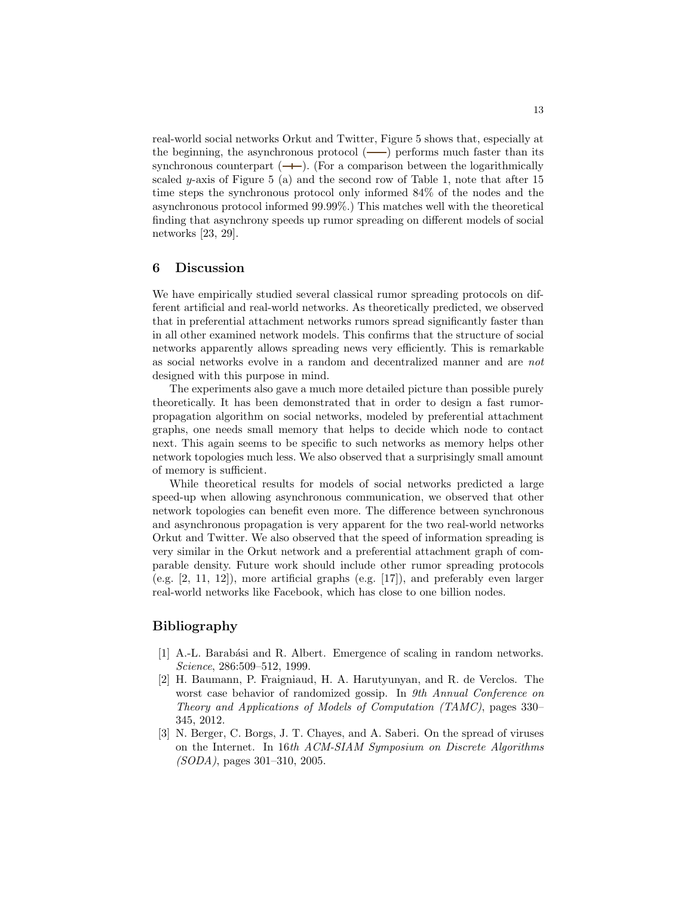real-world social networks Orkut and Twitter, Figure 5 shows that, especially at the beginning, the asynchronous protocol  $(-\)$  performs much faster than its synchronous counterpart  $(+)$ . (For a comparison between the logarithmically scaled y-axis of Figure 5 (a) and the second row of Table 1, note that after 15 time steps the synchronous protocol only informed 84% of the nodes and the asynchronous protocol informed 99.99%.) This matches well with the theoretical finding that asynchrony speeds up rumor spreading on different models of social networks [23, 29].

### 6 Discussion

We have empirically studied several classical rumor spreading protocols on different artificial and real-world networks. As theoretically predicted, we observed that in preferential attachment networks rumors spread significantly faster than in all other examined network models. This confirms that the structure of social networks apparently allows spreading news very efficiently. This is remarkable as social networks evolve in a random and decentralized manner and are not designed with this purpose in mind.

The experiments also gave a much more detailed picture than possible purely theoretically. It has been demonstrated that in order to design a fast rumorpropagation algorithm on social networks, modeled by preferential attachment graphs, one needs small memory that helps to decide which node to contact next. This again seems to be specific to such networks as memory helps other network topologies much less. We also observed that a surprisingly small amount of memory is sufficient.

While theoretical results for models of social networks predicted a large speed-up when allowing asynchronous communication, we observed that other network topologies can benefit even more. The difference between synchronous and asynchronous propagation is very apparent for the two real-world networks Orkut and Twitter. We also observed that the speed of information spreading is very similar in the Orkut network and a preferential attachment graph of comparable density. Future work should include other rumor spreading protocols (e.g. [2, 11, 12]), more artificial graphs (e.g. [17]), and preferably even larger real-world networks like Facebook, which has close to one billion nodes.

## Bibliography

- [1] A.-L. Barabási and R. Albert. Emergence of scaling in random networks. Science, 286:509–512, 1999.
- [2] H. Baumann, P. Fraigniaud, H. A. Harutyunyan, and R. de Verclos. The worst case behavior of randomized gossip. In 9th Annual Conference on Theory and Applications of Models of Computation (TAMC), pages 330– 345, 2012.
- [3] N. Berger, C. Borgs, J. T. Chayes, and A. Saberi. On the spread of viruses on the Internet. In 16th ACM-SIAM Symposium on Discrete Algorithms (SODA), pages 301–310, 2005.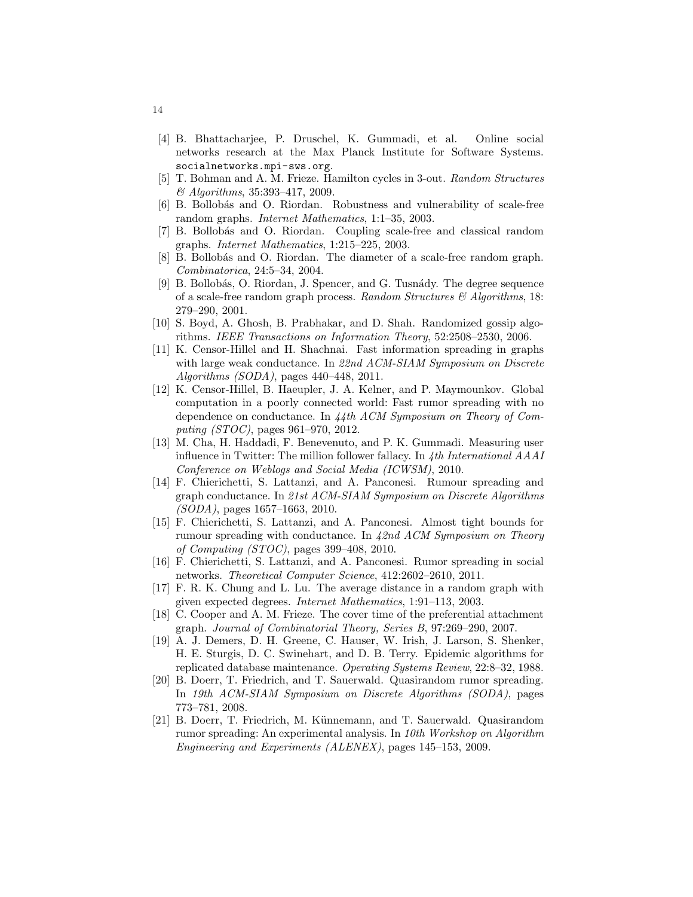- [4] B. Bhattacharjee, P. Druschel, K. Gummadi, et al. Online social networks research at the Max Planck Institute for Software Systems. socialnetworks.mpi-sws.org.
- [5] T. Bohman and A. M. Frieze. Hamilton cycles in 3-out. Random Structures & Algorithms, 35:393–417, 2009.
- [6] B. Bollobás and O. Riordan. Robustness and vulnerability of scale-free random graphs. Internet Mathematics, 1:1–35, 2003.
- [7] B. Bollobás and O. Riordan. Coupling scale-free and classical random graphs. Internet Mathematics, 1:215–225, 2003.
- [8] B. Bollobás and O. Riordan. The diameter of a scale-free random graph. Combinatorica, 24:5–34, 2004.
- [9] B. Bollobás, O. Riordan, J. Spencer, and G. Tusnády. The degree sequence of a scale-free random graph process. Random Structures  $\mathcal{B}$  Algorithms, 18: 279–290, 2001.
- [10] S. Boyd, A. Ghosh, B. Prabhakar, and D. Shah. Randomized gossip algorithms. IEEE Transactions on Information Theory, 52:2508–2530, 2006.
- [11] K. Censor-Hillel and H. Shachnai. Fast information spreading in graphs with large weak conductance. In 22nd ACM-SIAM Symposium on Discrete Algorithms (SODA), pages 440–448, 2011.
- [12] K. Censor-Hillel, B. Haeupler, J. A. Kelner, and P. Maymounkov. Global computation in a poorly connected world: Fast rumor spreading with no dependence on conductance. In 44th ACM Symposium on Theory of Computing (STOC), pages 961–970, 2012.
- [13] M. Cha, H. Haddadi, F. Benevenuto, and P. K. Gummadi. Measuring user influence in Twitter: The million follower fallacy. In 4th International AAAI Conference on Weblogs and Social Media (ICWSM), 2010.
- [14] F. Chierichetti, S. Lattanzi, and A. Panconesi. Rumour spreading and graph conductance. In 21st ACM-SIAM Symposium on Discrete Algorithms (SODA), pages 1657–1663, 2010.
- [15] F. Chierichetti, S. Lattanzi, and A. Panconesi. Almost tight bounds for rumour spreading with conductance. In 42nd ACM Symposium on Theory of Computing (STOC), pages 399–408, 2010.
- [16] F. Chierichetti, S. Lattanzi, and A. Panconesi. Rumor spreading in social networks. Theoretical Computer Science, 412:2602–2610, 2011.
- [17] F. R. K. Chung and L. Lu. The average distance in a random graph with given expected degrees. Internet Mathematics, 1:91–113, 2003.
- [18] C. Cooper and A. M. Frieze. The cover time of the preferential attachment graph. Journal of Combinatorial Theory, Series B, 97:269–290, 2007.
- [19] A. J. Demers, D. H. Greene, C. Hauser, W. Irish, J. Larson, S. Shenker, H. E. Sturgis, D. C. Swinehart, and D. B. Terry. Epidemic algorithms for replicated database maintenance. Operating Systems Review, 22:8–32, 1988.
- [20] B. Doerr, T. Friedrich, and T. Sauerwald. Quasirandom rumor spreading. In 19th ACM-SIAM Symposium on Discrete Algorithms (SODA), pages 773–781, 2008.
- [21] B. Doerr, T. Friedrich, M. Künnemann, and T. Sauerwald. Quasirandom rumor spreading: An experimental analysis. In 10th Workshop on Algorithm Engineering and Experiments (ALENEX), pages 145–153, 2009.

14